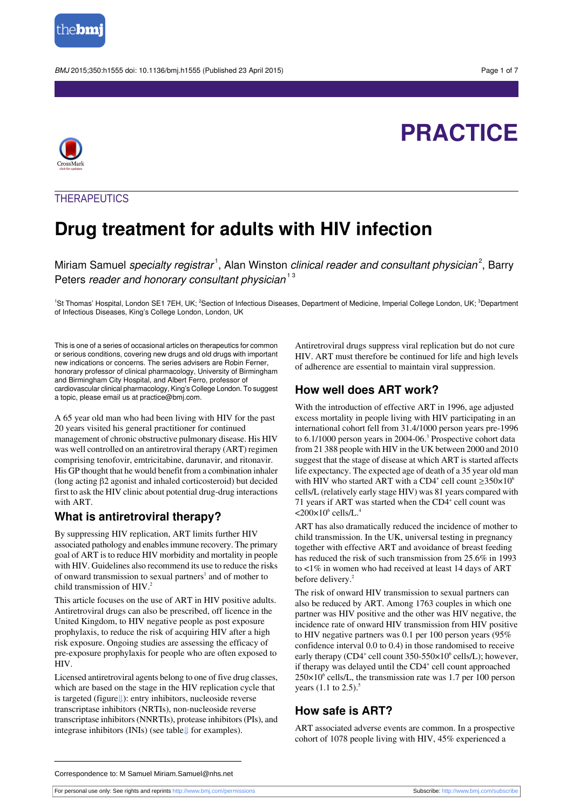

BMJ 2015:350:h1555 doi: 10.1136/bmj.h1555 (Published 23 April 2015) Page 1 of 7

# **PRACTICE**



### **THERAPEUTICS**

## **Drug treatment for adults with HIV infection**

Miriam Samuel *specialty registrar* 1, Alan Winston *clinical reader and consultant physician* 2, Barry Peters reader and honorary consultant physician<sup>13</sup>

<sup>1</sup>St Thomas' Hospital, London SE1 7EH, UK; <sup>2</sup>Section of Infectious Diseases, Department of Medicine, Imperial College London, UK; <sup>3</sup>Department of Infectious Diseases, King's College London, London, UK

This is one of a series of occasional articles on therapeutics for common or serious conditions, covering new drugs and old drugs with important new indications or concerns. The series advisers are Robin Ferner, honorary professor of clinical pharmacology, University of Birmingham and Birmingham City Hospital, and Albert Ferro, professor of cardiovascular clinical pharmacology, King's College London. To suggest a topic, please email us at practice@bmj.com.

A 65 year old man who had been living with HIV for the past 20 years visited his general practitioner for continued management of chronic obstructive pulmonary disease. His HIV was well controlled on an antiretroviral therapy (ART) regimen comprising tenofovir, emtricitabine, darunavir, and ritonavir. His GP thought that he would benefit from a combination inhaler (long acting β2 agonist and inhaled corticosteroid) but decided first to ask the HIV clinic about potential drug-drug interactions with ART.

### **What is antiretroviral therapy?**

By suppressing HIV replication, ART limits further HIV associated pathology and enablesimmune recovery. The primary goal of ART isto reduce HIV morbidity and mortality in people with HIV. Guidelines also recommend its use to reduce the risks of onward transmission to sexual partners<sup>1</sup> and of mother to child transmission of HIV.<sup>2</sup>

This article focuses on the use of ART in HIV positive adults. Antiretroviral drugs can also be prescribed, off licence in the United Kingdom, to HIV negative people as post exposure prophylaxis, to reduce the risk of acquiring HIV after a high risk exposure. Ongoing studies are assessing the efficacy of pre-exposure prophylaxis for people who are often exposed to HIV.

Licensed antiretroviral agents belong to one of five drug classes, which are based on the stage in the HIV replication cycle that is targeted (figure[⇓\)](#page-6-0): entry inhibitors, nucleoside reverse transcriptase inhibitors (NRTIs), non-nucleoside reverse transcriptase inhibitors(NNRTIs), protease inhibitors(PIs), and integrase inhibitors (INIs) (see table[⇓](#page-5-0) for examples).

Antiretroviral drugs suppress viral replication but do not cure HIV. ART must therefore be continued for life and high levels of adherence are essential to maintain viral suppression.

### **How well does ART work?**

With the introduction of effective ART in 1996, age adjusted excess mortality in people living with HIV participating in an international cohort fell from 31.4/1000 person years pre-1996 to 6.1/1000 person years in 2004-06.<sup>3</sup> Prospective cohort data from 21 388 people with HIV in the UK between 2000 and 2010 suggest that the stage of disease at which ART is started affects life expectancy. The expected age of death of a 35 year old man with HIV who started ART with a CD4<sup>+</sup> cell count  $\geq 350 \times 10^6$ cells/L (relatively early stage HIV) was 81 years compared with 71 years if ART was started when the CD4<sup>+</sup> cell count was  $<$ 200 $\times$ 10 $\degree$  cells/L.<sup>4</sup>

ART has also dramatically reduced the incidence of mother to child transmission. In the UK, universal testing in pregnancy together with effective ART and avoidance of breast feeding has reduced the risk of such transmission from 25.6% in 1993 to <1% in women who had received at least 14 days of ART before delivery.<sup>2</sup>

The risk of onward HIV transmission to sexual partners can also be reduced by ART. Among 1763 couples in which one partner was HIV positive and the other was HIV negative, the incidence rate of onward HIV transmission from HIV positive to HIV negative partners was 0.1 per 100 person years (95% confidence interval 0.0 to 0.4) in those randomised to receive early therapy (CD4<sup>+</sup> cell count 350-550×10<sup>6</sup> cells/L); however, if therapy was delayed until the CD4<sup>+</sup> cell count approached  $250\times10^6$  cells/L, the transmission rate was 1.7 per 100 person years  $(1.1 \text{ to } 2.5)$ .<sup>5</sup>

### **How safe is ART?**

ART associated adverse events are common. In a prospective cohort of 1078 people living with HIV, 45% experienced a

Correspondence to: M Samuel Miriam.Samuel@nhs.net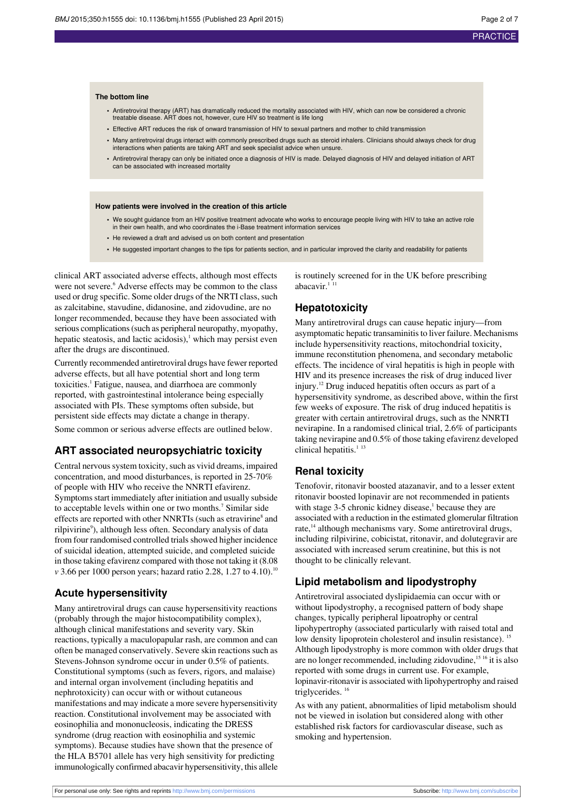#### **The bottom line**

- **•** Antiretroviral therapy (ART) has dramatically reduced the mortality associated with HIV, which can now be considered a chronic treatable disease. ART does not, however, cure HIV so treatment is life long
- **•** Effective ART reduces the risk of onward transmission of HIV to sexual partners and mother to child transmission
- **•** Many antiretroviral drugs interact with commonly prescribed drugs such as steroid inhalers. Clinicians should always check for drug interactions when patients are taking ART and seek specialist advice when unsure.
- **•** Antiretroviral therapy can only be initiated once a diagnosis of HIV is made. Delayed diagnosis of HIV and delayed initiation of ART can be associated with increased mortality

#### **How patients were involved in the creation of this article**

- **•** We sought guidance from an HIV positive treatment advocate who works to encourage people living with HIV to take an active role in their own health, and who coordinates the i-Base treatment information services
- **•** He reviewed a draft and advised us on both content and presentation
- He suggested important changes to the tips for patients section, and in particular improved the clarity and readability for patients

clinical ART associated adverse effects, although most effects were not severe.<sup>6</sup> Adverse effects may be common to the class used or drug specific. Some older drugs of the NRTI class, such as zalcitabine, stavudine, didanosine, and zidovudine, are no longer recommended, because they have been associated with serious complications(such as peripheral neuropathy, myopathy, hepatic steatosis, and lactic acidosis), $\frac{1}{1}$  which may persist even after the drugs are discontinued.

Currently recommended antiretroviral drugs have fewer reported adverse effects, but all have potential short and long term toxicities.<sup>1</sup> Fatigue, nausea, and diarrhoea are commonly reported, with gastrointestinal intolerance being especially associated with PIs. These symptoms often subside, but persistent side effects may dictate a change in therapy. Some common or serious adverse effects are outlined below.

### **ART associated neuropsychiatric toxicity**

Central nervous system toxicity, such as vivid dreams, impaired concentration, and mood disturbances, is reported in 25-70% of people with HIV who receive the NNRTI efavirenz. Symptoms start immediately after initiation and usually subside to acceptable levels within one or two months.<sup>7</sup> Similar side effects are reported with other NNRTIs (such as etravirine<sup>8</sup> and rilpivirine<sup>9</sup>), although less often. Secondary analysis of data from four randomised controlled trials showed higher incidence of suicidal ideation, attempted suicide, and completed suicide in those taking efavirenz compared with those not taking it (8.08 *v* 3.66 per 1000 person years; hazard ratio 2.28, 1.27 to 4.10).<sup>10</sup>

### **Acute hypersensitivity**

Many antiretroviral drugs can cause hypersensitivity reactions (probably through the major histocompatibility complex), although clinical manifestations and severity vary. Skin reactions, typically a maculopapular rash, are common and can often be managed conservatively. Severe skin reactions such as Stevens-Johnson syndrome occur in under 0.5% of patients. Constitutional symptoms (such as fevers, rigors, and malaise) and internal organ involvement (including hepatitis and nephrotoxicity) can occur with or without cutaneous manifestations and may indicate a more severe hypersensitivity reaction. Constitutional involvement may be associated with eosinophilia and mononucleosis, indicating the DRESS syndrome (drug reaction with eosinophilia and systemic symptoms). Because studies have shown that the presence of the HLA B5701 allele has very high sensitivity for predicting immunologically confirmed abacavir hypersensitivity, this allele

is routinely screened for in the UK before prescribing abacavir. $11$ 

#### **Hepatotoxicity**

Many antiretroviral drugs can cause hepatic injury—from asymptomatic hepatic transaminitisto liver failure. Mechanisms include hypersensitivity reactions, mitochondrial toxicity, immune reconstitution phenomena, and secondary metabolic effects. The incidence of viral hepatitis is high in people with HIV and its presence increases the risk of drug induced liver injury.<sup>12</sup> Drug induced hepatitis often occurs as part of a hypersensitivity syndrome, as described above, within the first few weeks of exposure. The risk of drug induced hepatitis is greater with certain antiretroviral drugs, such as the NNRTI nevirapine. In a randomised clinical trial, 2.6% of participants taking nevirapine and 0.5% of those taking efavirenz developed clinical hepatitis. $1^{13}$ 

### **Renal toxicity**

Tenofovir, ritonavir boosted atazanavir, and to a lesser extent ritonavir boosted lopinavir are not recommended in patients with stage  $3-5$  chronic kidney disease,<sup>1</sup> because they are associated with a reduction in the estimated glomerular filtration rate,<sup>14</sup> although mechanisms vary. Some antiretroviral drugs, including rilpivirine, cobicistat, ritonavir, and dolutegravir are associated with increased serum creatinine, but this is not thought to be clinically relevant.

#### **Lipid metabolism and lipodystrophy**

Antiretroviral associated dyslipidaemia can occur with or without lipodystrophy, a recognised pattern of body shape changes, typically peripheral lipoatrophy or central lipohypertrophy (associated particularly with raised total and low density lipoprotein cholesterol and insulin resistance). <sup>15</sup> Although lipodystrophy is more common with older drugs that are no longer recommended, including zidovudine,<sup>15 16</sup> it is also reported with some drugs in current use. For example, lopinavir-ritonavir is associated with lipohypertrophy and raised triglycerides.<sup>16</sup>

As with any patient, abnormalities of lipid metabolism should not be viewed in isolation but considered along with other established risk factors for cardiovascular disease, such as smoking and hypertension.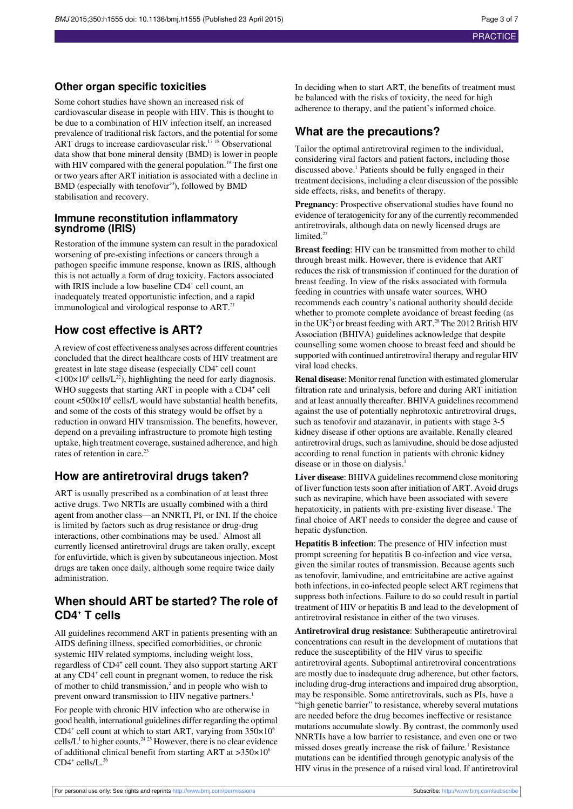#### **Other organ specific toxicities**

Some cohort studies have shown an increased risk of cardiovascular disease in people with HIV. This is thought to be due to a combination of HIV infection itself, an increased prevalence of traditional risk factors, and the potential for some ART drugs to increase cardiovascular risk.<sup>17 18</sup> Observational data show that bone mineral density (BMD) is lower in people with HIV compared with the general population.<sup>19</sup> The first one or two years after ART initiation is associated with a decline in BMD (especially with tenofovir<sup>20</sup>), followed by BMD stabilisation and recovery.

#### **Immune reconstitution inflammatory syndrome (IRIS)**

Restoration of the immune system can result in the paradoxical worsening of pre-existing infections or cancers through a pathogen specific immune response, known as IRIS, although this is not actually a form of drug toxicity. Factors associated with IRIS include a low baseline CD4<sup>+</sup> cell count, an inadequately treated opportunistic infection, and a rapid immunological and virological response to ART.<sup>21</sup>

### **How cost effective is ART?**

A review of cost effectiveness analyses across different countries concluded that the direct healthcare costs of HIV treatment are greatest in late stage disease (especially CD4<sup>+</sup> cell count  $\langle 100 \times 10^6 \text{ cells/L}^2 \rangle$ , highlighting the need for early diagnosis. WHO suggests that starting ART in people with a CD4<sup>+</sup> cell count  $\langle 500 \times 10^6 \text{ cells/L}$  would have substantial health benefits, and some of the costs of this strategy would be offset by a reduction in onward HIV transmission. The benefits, however, depend on a prevailing infrastructure to promote high testing uptake, high treatment coverage, sustained adherence, and high rates of retention in care.<sup>23</sup>

#### **How are antiretroviral drugs taken?**

ART is usually prescribed as a combination of at least three active drugs. Two NRTIs are usually combined with a third agent from another class—an NNRTI, PI, or INI. If the choice is limited by factors such as drug resistance or drug-drug interactions, other combinations may be used.<sup>1</sup> Almost all currently licensed antiretroviral drugs are taken orally, except for enfuvirtide, which is given by subcutaneous injection. Most drugs are taken once daily, although some require twice daily administration.

### **When should ART be started? The role of CD4<sup>+</sup> T cells**

All guidelines recommend ART in patients presenting with an AIDS defining illness, specified comorbidities, or chronic systemic HIV related symptoms, including weight loss, regardless of CD4<sup>+</sup> cell count. They also support starting ART at any CD4<sup>+</sup> cell count in pregnant women, to reduce the risk of mother to child transmission, $\lambda^2$  and in people who wish to prevent onward transmission to HIV negative partners.<sup>1</sup>

For people with chronic HIV infection who are otherwise in good health, international guidelines differ regarding the optimal CD4<sup>+</sup> cell count at which to start ART, varying from  $350\times10^{6}$ cells/ $L<sup>1</sup>$  to higher counts.<sup>24 25</sup> However, there is no clear evidence of additional clinical benefit from starting ART at  $>350\times10^6$  $CD4^+$  cells/L.<sup>26</sup>

In deciding when to start ART, the benefits of treatment must be balanced with the risks of toxicity, the need for high adherence to therapy, and the patient's informed choice.

### **What are the precautions?**

Tailor the optimal antiretroviral regimen to the individual, considering viral factors and patient factors, including those discussed above.<sup>1</sup> Patients should be fully engaged in their treatment decisions, including a clear discussion of the possible side effects, risks, and benefits of therapy.

**Pregnancy**: Prospective observational studies have found no evidence of teratogenicity for any of the currently recommended antiretrovirals, although data on newly licensed drugs are limited.<sup>27</sup>

**Breast feeding**: HIV can be transmitted from mother to child through breast milk. However, there is evidence that ART reduces the risk of transmission if continued for the duration of breast feeding. In view of the risks associated with formula feeding in countries with unsafe water sources, WHO recommends each country's national authority should decide whether to promote complete avoidance of breast feeding (as in the UK<sup>2</sup>) or breast feeding with ART.<sup>28</sup> The 2012 British HIV Association (BHIVA) guidelines acknowledge that despite counselling some women choose to breast feed and should be supported with continued antiretroviral therapy and regular HIV viral load checks.

**Renal disease**: Monitor renal function with estimated glomerular filtration rate and urinalysis, before and during ART initiation and at least annually thereafter. BHIVA guidelines recommend against the use of potentially nephrotoxic antiretroviral drugs, such as tenofovir and atazanavir, in patients with stage 3-5 kidney disease if other options are available. Renally cleared antiretroviral drugs, such as lamivudine, should be dose adjusted according to renal function in patients with chronic kidney disease or in those on dialysis.<sup>1</sup>

**Liver disease:** BHIVA guidelines recommend close monitoring of liver function tests soon after initiation of ART. Avoid drugs such as nevirapine, which have been associated with severe hepatoxicity, in patients with pre-existing liver disease.<sup>1</sup> The final choice of ART needs to consider the degree and cause of hepatic dysfunction.

**Hepatitis B infection**: The presence of HIV infection must prompt screening for hepatitis B co-infection and vice versa, given the similar routes of transmission. Because agents such as tenofovir, lamivudine, and emtricitabine are active against both infections, in co-infected people select ART regimens that suppress both infections. Failure to do so could result in partial treatment of HIV or hepatitis B and lead to the development of antiretroviral resistance in either of the two viruses.

**Antiretroviral drug resistance**: Subtherapeutic antiretroviral concentrations can result in the development of mutations that reduce the susceptibility of the HIV virus to specific antiretroviral agents. Suboptimal antiretroviral concentrations are mostly due to inadequate drug adherence, but other factors, including drug-drug interactions and impaired drug absorption, may be responsible. Some antiretrovirals, such as PIs, have a "high genetic barrier" to resistance, whereby several mutations are needed before the drug becomes ineffective or resistance mutations accumulate slowly. By contrast, the commonly used NNRTIs have a low barrier to resistance, and even one or two missed doses greatly increase the risk of failure.<sup>1</sup> Resistance mutations can be identified through genotypic analysis of the HIV virus in the presence of a raised viral load. If antiretroviral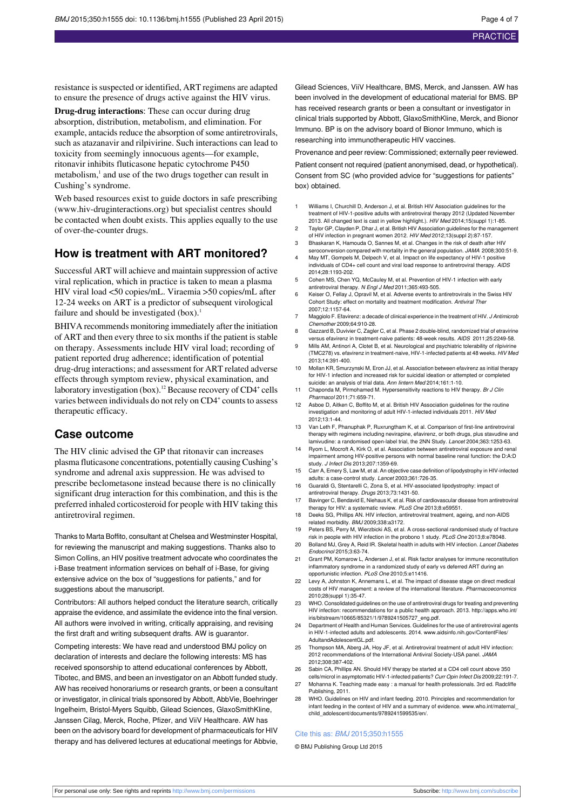resistance is suspected or identified, ART regimens are adapted to ensure the presence of drugs active against the HIV virus.

**Drug-drug interactions**: These can occur during drug absorption, distribution, metabolism, and elimination. For example, antacids reduce the absorption of some antiretrovirals, such as atazanavir and rilpivirine. Such interactions can lead to toxicity from seemingly innocuous agents—for example, ritonavir inhibits fluticasone hepatic cytochrome P450 metabolism,<sup>1</sup> and use of the two drugs together can result in Cushing's syndrome.

Web based resources exist to guide doctors in safe prescribing ([www.hiv-druginteractions.org](http://www.hiv-druginteractions.org/)) but specialist centres should be contacted when doubt exists. This applies equally to the use of over-the-counter drugs.

#### **How is treatment with ART monitored?**

Successful ART will achieve and maintain suppression of active viral replication, which in practice is taken to mean a plasma HIV viral load <50 copies/mL. Viraemia >50 copies/mL after 12-24 weeks on ART is a predictor of subsequent virological failure and should be investigated  $(box)^1$ .

BHIVA recommends monitoring immediately after the initiation of ART and then every three to six monthsif the patient isstable on therapy. Assessments include HIV viral load; recording of patient reported drug adherence; identification of potential drug-drug interactions; and assessment for ART related adverse effects through symptom review, physical examination, and laboratory investigation (box).<sup>12</sup> Because recovery of CD4<sup>+</sup> cells varies between individuals do not rely on CD4<sup>+</sup> counts to assess therapeutic efficacy.

#### **Case outcome**

The HIV clinic advised the GP that ritonavir can increases plasma fluticasone concentrations, potentially causing Cushing's syndrome and adrenal axis suppression. He was advised to prescribe beclometasone instead because there is no clinically significant drug interaction for this combination, and this is the preferred inhaled corticosteroid for people with HIV taking this antiretroviral regimen.

Thanks to Marta Boffito, consultant at Chelsea and Westminster Hospital, for reviewing the manuscript and making suggestions. Thanks also to Simon Collins, an HIV positive treatment advocate who coordinates the i-Base treatment information services on behalf of i-Base, for giving extensive advice on the box of "suggestions for patients," and for suggestions about the manuscript.

Contributors: All authors helped conduct the literature search, critically appraise the evidence, and assimilate the evidence into the final version. All authors were involved in writing, critically appraising, and revising the first draft and writing subsequent drafts. AW is guarantor.

Competing interests: We have read and understood BMJ policy on declaration of interests and declare the following interests: MS has received sponsorship to attend educational conferences by Abbott, Tibotec, and BMS, and been an investigator on an Abbott funded study. AW has received honorariums or research grants, or been a consultant or investigator, in clinical trials sponsored by Abbott, AbbVie, Boehringer Ingelheim, Bristol-Myers Squibb, Gilead Sciences, GlaxoSmithKline, Janssen Cilag, Merck, Roche, Pfizer, and ViiV Healthcare. AW has been on the advisory board for development of pharmaceuticals for HIV therapy and has delivered lectures at educational meetings for Abbvie,

Gilead Sciences, ViiV Healthcare, BMS, Merck, and Janssen. AW has been involved in the development of educational material for BMS. BP has received research grants or been a consultant or investigator in clinical trials supported by Abbott, GlaxoSmithKline, Merck, and Bionor Immuno. BP is on the advisory board of Bionor Immuno, which is researching into immunotherapeutic HIV vaccines.

Provenance and peer review: Commissioned; externally peer reviewed.

Patient consent not required (patient anonymised, dead, or hypothetical). Consent from SC (who provided advice for "suggestions for patients" box) obtained.

- 1 Williams I, Churchill D, Anderson J, et al. British HIV Association guidelines for the treatment of HIV-1-positive adults with antiretroviral therapy 2012 (Updated November 2013. All changed text is cast in yellow highlight.). HIV Med 2014;15(suppl 1):1-85.
- 2 Taylor GP, Clayden P, Dhar J, et al. British HIV Association guidelines for the manage of HIV infection in pregnant women 2012. HIV Med 2012;13(suppl 2):87-157.
- 3 Bhaskaran K, Hamouda O, Sannes M, et al. Changes in the risk of death after HIV seroconversion compared with mortality in the general population. JAMA 2008;300:51-9. 4 May MT, Gompels M, Delpech V, et al. Impact on life expectancy of HIV-1 positive
- individuals of CD4+ cell count and viral load response to antiretroviral therapy. AIDS 2014;28:1193-202.
- 5 Cohen MS, Chen YQ, McCauley M, et al. Prevention of HIV-1 infection with early antiretroviral therapy. N Engl J Med 2011;365:493-505.
- 6 Keiser O, Fellay J, Opravil M, et al. Adverse events to antiretrovirals in the Swiss HIV Cohort Study: effect on mortality and treatment modification. Antiviral There 2007;12:1157-64.
- Maggiolo F. Efavirenz: a decade of clinical experience in the treatment of HIV. J Antimicrob Chemother 2009;64:910-28.
- Gazzard B, Duvivier C, Zagler C, et al. Phase 2 double-blind, randomized trial of etravirine versus efavirenz in treatment-naive patients: 48-week results. AIDS 2011;25:2249-58.
- 9 Mills AM, Antinori A, Clotet B, et al. Neurological and psychiatric tolerability of rilpivirine (TMC278) vs. efavirenz in treatment-naive, HIV-1-infected patients at 48 weeks. HIV Med 2013;14:391-400.
- 10 Mollan KR, Smurzynski M, Eron JJ, et al. Association between efavirenz as initial therapy for HIV-1 infection and increased risk for suicidal ideation or attempted or completed suicide: an analysis of trial data. Ann lintern Med 2014;161:1-10.
- 11 Chaponda M, Pirmohamed M. Hypersensitivity reactions to HIV therapy. Br J Clin Pharmacol 2011;71:659-71.
- 12 Asboe D, Aitken C, Boffito M, et al. British HIV Association guidelines for the routine investigation and monitoring of adult HIV-1-infected individuals 2011. HIV Med 2012;13:1-44.
- 13 Van Leth F, Phanuphak P, Ruxrungtham K, et al. Comparison of first-line antiretroviral therapy with regimens including nevirapine, efavirenz, or both drugs, plus stavudine and lamivudine: a randomised open-label trial, the 2NN Study. Lancet 2004;363:1253-63.
- 14 Ryom L, Mocroft A, Kirk O, et al. Association between antiretroviral exposure and renal impairment among HIV-positive persons with normal baseline renal function: the D:A:D study. *J Infect Dis* 2013;207:1359-69.
- 15 Carr A, Emery S, Law M, et al. An objective case definition of lipodystrophy in HIV-infected adults: a case-control study. Lancet 2003;361:726-35.
- 16 Guaraldi G, Stentarelli C, Zona S, et al. HIV-associated lipodystrophy: impact of antiretroviral therapy. Drugs 2013;73:1431-50.
- 17 Bavinger C, Bendavid E, Niehaus K, et al. Risk of cardiovascular disease from antiretroviral therapy for HIV: a systematic review. PLoS One 2013;8:e59551.
- 18 Deeks SG, Phillips AN. HIV infection, antiretroviral treatment, ageing, and non-AIDS related morbidity. BMJ 2009;338:a3172.
- 19 Peters BS, Perry M, Wierzbicki AS, et al. A cross-sectional randomised study of fracture risk in people with HIV infection in the probono 1 study. PLoS One 2013;8:e78048.
- 20 Bolland MJ, Grey A, Reid IR. Skeletal health in adults with HIV infection. Lancet Diab Endocrinol 2015;3:63-74.
- 21 Grant PM, Komarow L, Andersen J, et al. Risk factor analyses for immune reconstitution inflammatory syndrome in a randomized study of early vs deferred ART during an opportunistic infection. PLoS One 2010;5:e11416.
- 22 Levy A, Johnston K, Annemans L, et al. The impact of disease stage on direct medical costs of HIV management: a review of the international literature. Pharmacoeconomics 2010;28(suppl 1):35-47.
- 23 WHO. Consolidated guidelines on the use of antiretroviral drugs for treating and preventing HIV infection: recommendations for a public health approach. 2013. [http://apps.who.int/](http://apps.who.int/iris/bitstream/10665/85321/1/9789241505727_eng.pdf) [iris/bitstream/10665/85321/1/9789241505727\\_eng.pdf.](http://apps.who.int/iris/bitstream/10665/85321/1/9789241505727_eng.pdf)
- 24 Department of Health and Human Services. Guidelines for the use of antiretroviral agents in HIV-1-infected adults and adolescents. 2014. [www.aidsinfo.nih.gov/ContentFiles/](http://www.aidsinfo.nih.gov/ContentFiles/AdultandAdolescentGL.pdf) [AdultandAdolescentGL.pdf.](http://www.aidsinfo.nih.gov/ContentFiles/AdultandAdolescentGL.pdf)
- 25 Thompson MA, Aberg JA, Hoy JF, et al. Antiretroviral treatment of adult HIV infection: 2012 recommendations of the International Antiviral Society-USA panel. JAMA 2012;308:387-402.
- 26 Sabin CA, Phillips AN. Should HIV therapy be started at a CD4 cell count above 350
- cells/microl in asymptomatic HIV-1-infected patients? Curr Opin Infect Dis 2009;22:191-7. 27 Mohanna K. Teaching made easy : a manual for health professionals. 3rd ed. Radcliffe
- Publishing, 2011. 28 WHO. Guidelines on HIV and infant feeding. 2010. Principles and recommendation for infant feeding in the context of HIV and a summary of evidence. [www.who.int/maternal\\_](http://www.who.int/maternal_child_adolescent/documents/9789241599535/en/) [child\\_adolescent/documents/9789241599535/en/](http://www.who.int/maternal_child_adolescent/documents/9789241599535/en/).

#### Cite this as: BMJ 2015;350:h1555

© BMJ Publishing Group Ltd 2015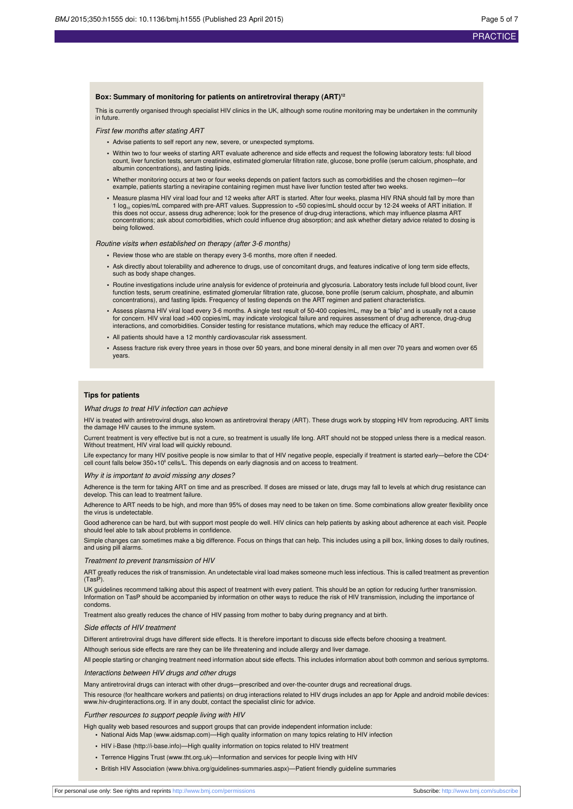#### **Box: Summary of monitoring for patients on antiretroviral therapy (ART)<sup>12</sup>**

This is currently organised through specialist HIV clinics in the UK, although some routine monitoring may be undertaken in the community in future.

First few months after stating ART

- **•** Advise patients to self report any new, severe, or unexpected symptoms.
- **•** Within two to four weeks of starting ART evaluate adherence and side effects and request the following laboratory tests: full blood count, liver function tests, serum creatinine, estimated glomerular filtration rate, glucose, bone profile (serum calcium, phosphate, and albumin concentrations), and fasting lipids.
- **•** Whether monitoring occurs at two or four weeks depends on patient factors such as comorbidities and the chosen regimen—for example, patients starting a nevirapine containing regimen must have liver function tested after two weeks.
- **•** Measure plasma HIV viral load four and 12 weeks after ART is started. After four weeks, plasma HIV RNA should fall by more than 1 log<sub>10</sub> copies/mL compared with pre-ART values. Suppression to <50 copies/mL should occur by 12-24 weeks of ART initiation. If this does not occur, assess drug adherence; look for the presence of drug-drug interactions, which may influence plasma ART concentrations; ask about comorbidities, which could influence drug absorption; and ask whether dietary advice related to dosing is being followed.

Routine visits when established on therapy (after 3-6 months)

- **•** Review those who are stable on therapy every 3-6 months, more often if needed.
- **•** Ask directly about tolerability and adherence to drugs, use of concomitant drugs, and features indicative of long term side effects, such as body shape changes
- **•** Routine investigations include urine analysis for evidence of proteinuria and glycosuria. Laboratory tests include full blood count, liver function tests, serum creatinine, estimated glomerular filtration rate, glucose, bone profile (serum calcium, phosphate, and albumin<br>concentrations), and fasting lipids. Frequency of testing depends on the ART regimen and
- **•** Assess plasma HIV viral load every 3-6 months. A single test result of 50-400 copies/mL, may be a "blip" and is usually not a cause for concern. HIV viral load >400 copies/mL may indicate virological failure and requires assessment of drug adherence, drug-drug interactions, and comorbidities. Consider testing for resistance mutations, which may reduce the efficacy of ART.
- **•** All patients should have a 12 monthly cardiovascular risk assessment.
- **•** Assess fracture risk every three years in those over 50 years, and bone mineral density in all men over 70 years and women over 65 years.

#### **Tips for patients**

#### What drugs to treat HIV infection can achieve

HIV is treated with antiretroviral drugs, also known as antiretroviral therapy (ART). These drugs work by stopping HIV from reproducing. ART limits the damage HIV causes to the immune system.

Current treatment is very effective but is not a cure, so treatment is usually life long. ART should not be stopped unless there is a medical reason. Without treatment, HIV viral load will quickly rebound.

Life expectancy for many HIV positive people is now similar to that of HIV negative people, especially if treatment is started early—before the CD4+ cell count falls below 350×10<sup>6</sup> cells/L. This depends on early diagnosis and on access to treatment.

#### Why it is important to avoid missing any doses?

Adherence is the term for taking ART on time and as prescribed. If doses are missed or late, drugs may fall to levels at which drug resistance can develop. This can lead to treatment failure.

Adherence to ART needs to be high, and more than 95% of doses may need to be taken on time. Some combinations allow greater flexibility once the virus is undetectable.

Good adherence can be hard, but with support most people do well. HIV clinics can help patients by asking about adherence at each visit. People should feel able to talk about problems in confidence.

Simple changes can sometimes make a big difference. Focus on things that can help. This includes using a pill box, linking doses to daily routines, and using pill alarms.

#### Treatment to prevent transmission of HIV

ART greatly reduces the risk of transmission. An undetectable viral load makes someone much less infectious. This is called treatment as prevention (TasP).

UK guidelines recommend talking about this aspect of treatment with every patient. This should be an option for reducing further transmission. Information on TasP should be accompanied by information on other ways to reduce the risk of HIV transmission, including the importance of condoms.

Treatment also greatly reduces the chance of HIV passing from mother to baby during pregnancy and at birth.

#### Side effects of HIV treatment

Different antiretroviral drugs have different side effects. It is therefore important to discuss side effects before choosing a treatment.

Although serious side effects are rare they can be life threatening and include allergy and liver damage.

All people starting or changing treatment need information about side effects. This includes information about both common and serious symptoms.

#### Interactions between HIV drugs and other drugs

Many antiretroviral drugs can interact with other drugs—prescribed and over-the-counter drugs and recreational drugs.

This resource (for healthcare workers and patients) on drug interactions related to HIV drugs includes an app for Apple and android mobile devices: [www.hiv-druginteractions.org](http://www.hiv-druginteractions.org/). If in any doubt, contact the specialist clinic for advice.

#### Further resources to support people living with HIV

High quality web based resources and support groups that can provide independent information include:

**•** National Aids Map ([www.aidsmap.com\)](http://www.aidsmap.com/)—High quality information on many topics relating to HIV infection

- **•** HIV i-Base [\(http://i-base.info\)](http://i-base.info/)—High quality information on topics related to HIV treatment
- **•** Terrence Higgins Trust [\(www.tht.org.uk](http://www.tht.org.uk/))—Information and services for people living with HIV
- **•** British HIV Association [\(www.bhiva.org/guidelines-summaries.aspx](http://www.bhiva.org/guidelines-summaries.aspx))—Patient friendly guideline summaries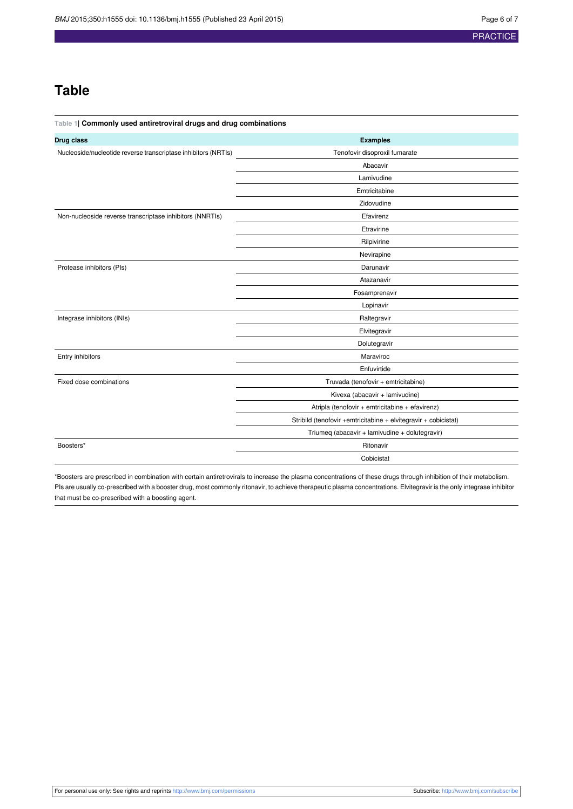### **Table**

<span id="page-5-0"></span>

| Table 1  Commonly used antiretroviral drugs and drug combinations |                                                                 |
|-------------------------------------------------------------------|-----------------------------------------------------------------|
| Drug class                                                        | <b>Examples</b>                                                 |
| Nucleoside/nucleotide reverse transcriptase inhibitors (NRTIs)    | Tenofovir disoproxil fumarate                                   |
|                                                                   | Abacavir                                                        |
|                                                                   | Lamivudine                                                      |
|                                                                   | Emtricitabine                                                   |
|                                                                   | Zidovudine                                                      |
| Non-nucleoside reverse transcriptase inhibitors (NNRTIs)          | Efavirenz                                                       |
|                                                                   | Etravirine                                                      |
|                                                                   | Rilpivirine                                                     |
|                                                                   | Nevirapine                                                      |
| Protease inhibitors (Pls)                                         | Darunavir                                                       |
|                                                                   | Atazanavir                                                      |
|                                                                   | Fosamprenavir                                                   |
|                                                                   | Lopinavir                                                       |
| Integrase inhibitors (INIs)                                       | Raltegravir                                                     |
|                                                                   | Elvitegravir                                                    |
|                                                                   | Dolutegravir                                                    |
| Entry inhibitors                                                  | Maraviroc                                                       |
|                                                                   | Enfuvirtide                                                     |
| Fixed dose combinations                                           | Truvada (tenofovir + emtricitabine)                             |
|                                                                   | Kivexa (abacavir + lamivudine)                                  |
|                                                                   | Atripla (tenofovir + emtricitabine + efavirenz)                 |
|                                                                   | Stribild (tenofovir +emtricitabine + elvitegravir + cobicistat) |
|                                                                   | Triumeq (abacavir + lamivudine + dolutegravir)                  |
| Boosters*                                                         | Ritonavir                                                       |
|                                                                   | Cobicistat                                                      |

\*Boosters are prescribed in combination with certain antiretrovirals to increase the plasma concentrations of these drugs through inhibition of their metabolism. PIs are usually co-prescribed with a booster drug, most commonly ritonavir, to achieve therapeutic plasma concentrations. Elvitegravir is the only integrase inhibitor that must be co-prescribed with a boosting agent.